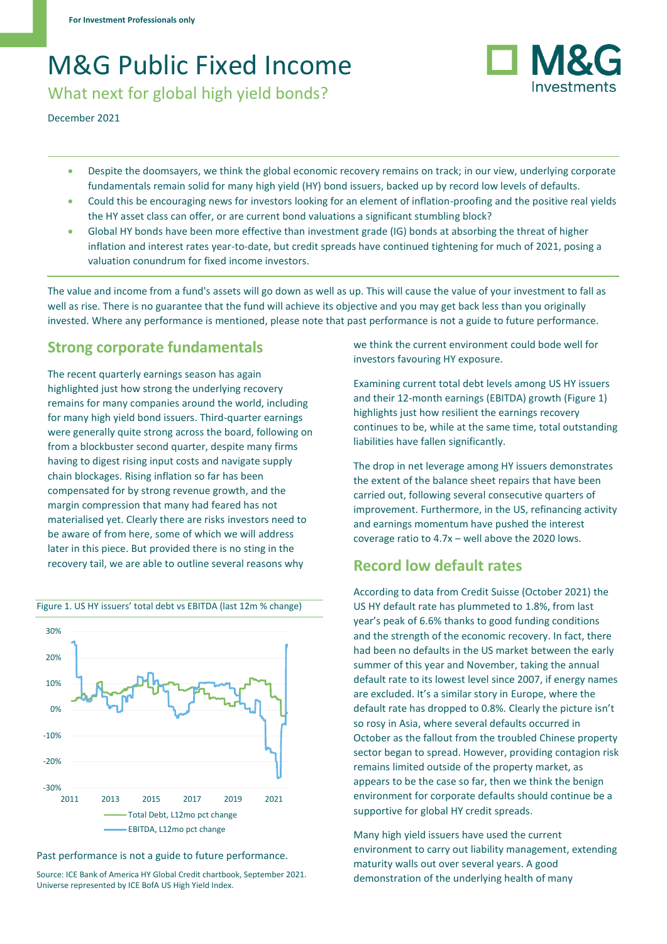# M&G Public Fixed Income

What next for global high yield bonds?

December 2021

- Despite the doomsayers, we think the global economic recovery remains on track; in our view, underlying corporate fundamentals remain solid for many high yield (HY) bond issuers, backed up by record low levels of defaults.
- Could this be encouraging news for investors looking for an element of inflation-proofing and the positive real yields the HY asset class can offer, or are current bond valuations a significant stumbling block?
- Global HY bonds have been more effective than investment grade (IG) bonds at absorbing the threat of higher inflation and interest rates year-to-date, but credit spreads have continued tightening for much of 2021, posing a valuation conundrum for fixed income investors.

The value and income from a fund's assets will go down as well as up. This will cause the value of your investment to fall as well as rise. There is no guarantee that the fund will achieve its objective and you may get back less than you originally invested. Where any performance is mentioned, please note that past performance is not a guide to future performance.

### **Strong corporate fundamentals**

The recent quarterly earnings season has again highlighted just how strong the underlying recovery remains for many companies around the world, including for many high yield bond issuers. Third-quarter earnings were generally quite strong across the board, following on from a blockbuster second quarter, despite many firms having to digest rising input costs and navigate supply chain blockages. Rising inflation so far has been compensated for by strong revenue growth, and the margin compression that many had feared has not materialised yet. Clearly there are risks investors need to be aware of from here, some of which we will address later in this piece. But provided there is no sting in the recovery tail, we are able to outline several reasons why



#### Figure 1. US HY issuers' total debt vs EBITDA (last 12m % change)

Past performance is not a guide to future performance.

Source: ICE Bank of America HY Global Credit chartbook, September 2021. Universe represented by ICE BofA US High Yield Index.

we think the current environment could bode well for investors favouring HY exposure.

Examining current total debt levels among US HY issuers and their 12-month earnings (EBITDA) growth (Figure 1) highlights just how resilient the earnings recovery continues to be, while at the same time, total outstanding liabilities have fallen significantly.

The drop in net leverage among HY issuers demonstrates the extent of the balance sheet repairs that have been carried out, following several consecutive quarters of improvement. Furthermore, in the US, refinancing activity and earnings momentum have pushed the interest coverage ratio to 4.7x – well above the 2020 lows.

### **Record low default rates**

According to data from Credit Suisse (October 2021) the US HY default rate has plummeted to 1.8%, from last year's peak of 6.6% thanks to good funding conditions and the strength of the economic recovery. In fact, there had been no defaults in the US market between the early summer of this year and November, taking the annual default rate to its lowest level since 2007, if energy names are excluded. It's a similar story in Europe, where the default rate has dropped to 0.8%. Clearly the picture isn't so rosy in Asia, where several defaults occurred in October as the fallout from the troubled Chinese property sector began to spread. However, providing contagion risk remains limited outside of the property market, as appears to be the case so far, then we think the benign environment for corporate defaults should continue be a supportive for global HY credit spreads.

Many high yield issuers have used the current environment to carry out liability management, extending maturity walls out over several years. A good demonstration of the underlying health of many

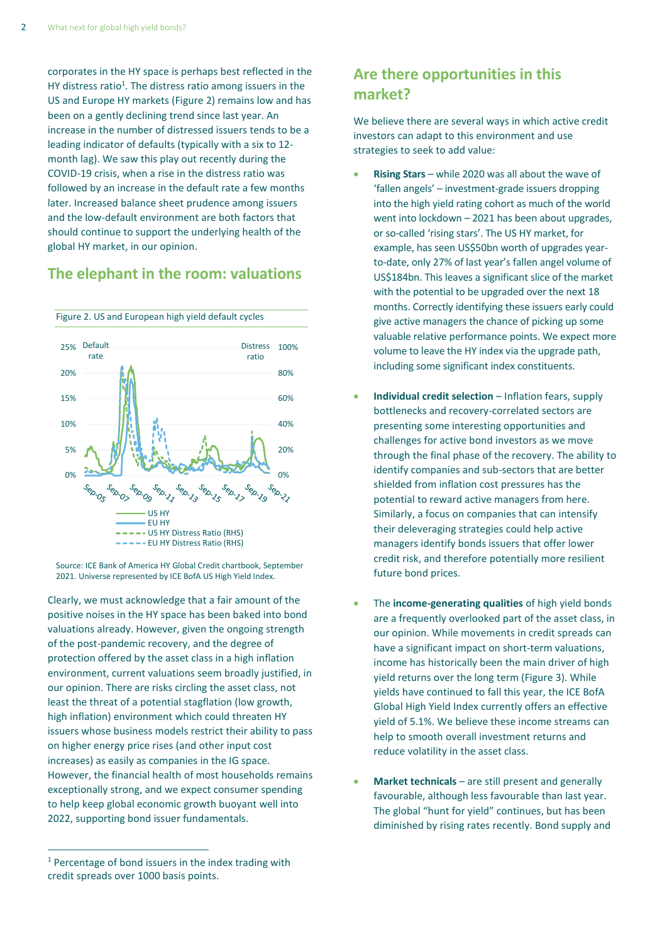corporates in the HY space is perhaps best reflected in the HY distress ratio<sup>1</sup>. The distress ratio among issuers in the US and Europe HY markets (Figure 2) remains low and has been on a gently declining trend since last year. An increase in the number of distressed issuers tends to be a leading indicator of defaults (typically with a six to 12 month lag). We saw this play out recently during the COVID-19 crisis, when a rise in the distress ratio was followed by an increase in the default rate a few months later. Increased balance sheet prudence among issuers and the low-default environment are both factors that should continue to support the underlying health of the global HY market, in our opinion.

#### **The elephant in the room: valuations**



Source: ICE Bank of America HY Global Credit chartbook, September 2021. Universe represented by ICE BofA US High Yield Index.

Clearly, we must acknowledge that a fair amount of the positive noises in the HY space has been baked into bond valuations already. However, given the ongoing strength of the post-pandemic recovery, and the degree of protection offered by the asset class in a high inflation environment, current valuations seem broadly justified, in our opinion. There are risks circling the asset class, not least the threat of a potential stagflation (low growth, high inflation) environment which could threaten HY issuers whose business models restrict their ability to pass on higher energy price rises (and other input cost increases) as easily as companies in the IG space. However, the financial health of most households remains exceptionally strong, and we expect consumer spending to help keep global economic growth buoyant well into 2022, supporting bond issuer fundamentals.

## **Are there opportunities in this market?**

We believe there are several ways in which active credit investors can adapt to this environment and use strategies to seek to add value:

- **Rising Stars** while 2020 was all about the wave of 'fallen angels' – investment-grade issuers dropping into the high yield rating cohort as much of the world went into lockdown – 2021 has been about upgrades, or so-called 'rising stars'. The US HY market, for example, has seen US\$50bn worth of upgrades yearto-date, only 27% of last year's fallen angel volume of US\$184bn. This leaves a significant slice of the market with the potential to be upgraded over the next 18 months. Correctly identifying these issuers early could give active managers the chance of picking up some valuable relative performance points. We expect more volume to leave the HY index via the upgrade path, including some significant index constituents.
- **Individual credit selection** Inflation fears, supply bottlenecks and recovery-correlated sectors are presenting some interesting opportunities and challenges for active bond investors as we move through the final phase of the recovery. The ability to identify companies and sub-sectors that are better shielded from inflation cost pressures has the potential to reward active managers from here. Similarly, a focus on companies that can intensify their deleveraging strategies could help active managers identify bonds issuers that offer lower credit risk, and therefore potentially more resilient future bond prices.
- The **income-generating qualities** of high yield bonds are a frequently overlooked part of the asset class, in our opinion. While movements in credit spreads can have a significant impact on short-term valuations, income has historically been the main driver of high yield returns over the long term (Figure 3). While yields have continued to fall this year, the ICE BofA Global High Yield Index currently offers an effective yield of 5.1%. We believe these income streams can help to smooth overall investment returns and reduce volatility in the asset class.
- **Market technicals** are still present and generally favourable, although less favourable than last year. The global "hunt for yield" continues, but has been diminished by rising rates recently. Bond supply and

 $1$  Percentage of bond issuers in the index trading with credit spreads over 1000 basis points.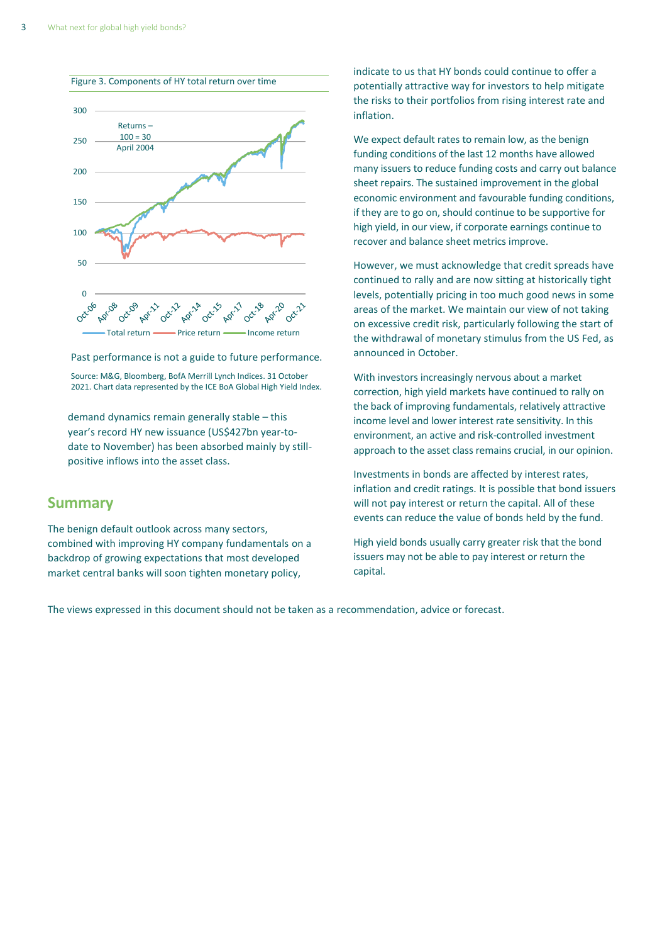

Past performance is not a guide to future performance.

Source: M&G, Bloomberg, BofA Merrill Lynch Indices. 31 October 2021. Chart data represented by the ICE BoA Global High Yield Index.

demand dynamics remain generally stable – this year's record HY new issuance (US\$427bn year-todate to November) has been absorbed mainly by stillpositive inflows into the asset class.

#### **Summary**

The benign default outlook across many sectors, combined with improving HY company fundamentals on a backdrop of growing expectations that most developed market central banks will soon tighten monetary policy,

indicate to us that HY bonds could continue to offer a potentially attractive way for investors to help mitigate the risks to their portfolios from rising interest rate and inflation.

We expect default rates to remain low, as the benign funding conditions of the last 12 months have allowed many issuers to reduce funding costs and carry out balance sheet repairs. The sustained improvement in the global economic environment and favourable funding conditions, if they are to go on, should continue to be supportive for high yield, in our view, if corporate earnings continue to recover and balance sheet metrics improve.

However, we must acknowledge that credit spreads have continued to rally and are now sitting at historically tight levels, potentially pricing in too much good news in some areas of the market. We maintain our view of not taking on excessive credit risk, particularly following the start of the withdrawal of monetary stimulus from the US Fed, as announced in October.

With investors increasingly nervous about a market correction, high yield markets have continued to rally on the back of improving fundamentals, relatively attractive income level and lower interest rate sensitivity. In this environment, an active and risk-controlled investment approach to the asset class remains crucial, in our opinion.

Investments in bonds are affected by interest rates, inflation and credit ratings. It is possible that bond issuers will not pay interest or return the capital. All of these events can reduce the value of bonds held by the fund.

High yield bonds usually carry greater risk that the bond issuers may not be able to pay interest or return the capital.

The views expressed in this document should not be taken as a recommendation, advice or forecast.